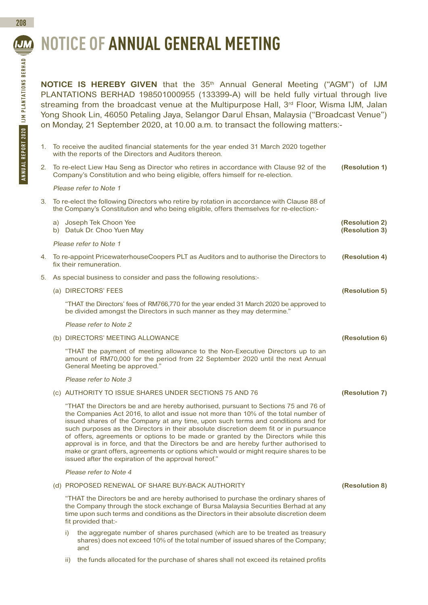# **NOTICE OF ANNUAL GENERAL MEETING**

**NOTICE IS HEREBY GIVEN** that the 35<sup>th</sup> Annual General Meeting ("AGM") of IJM PLANTATIONS BERHAD 198501000955 (133399-A) will be held fully virtual through live streaming from the broadcast venue at the Multipurpose Hall, 3rd Floor, Wisma IJM, Jalan Yong Shook Lin, 46050 Petaling Jaya, Selangor Darul Ehsan, Malaysia ("Broadcast Venue") on Monday, 21 September 2020, at 10.00 a.m. to transact the following matters:-

| 1. |                                                                                                                                                                                      | To receive the audited financial statements for the year ended 31 March 2020 together<br>with the reports of the Directors and Auditors thereon.                                                                                                                                                                                                                                                                                                                                                                                                                                                                                                                                      |                                  |  |
|----|--------------------------------------------------------------------------------------------------------------------------------------------------------------------------------------|---------------------------------------------------------------------------------------------------------------------------------------------------------------------------------------------------------------------------------------------------------------------------------------------------------------------------------------------------------------------------------------------------------------------------------------------------------------------------------------------------------------------------------------------------------------------------------------------------------------------------------------------------------------------------------------|----------------------------------|--|
| 2. | To re-elect Liew Hau Seng as Director who retires in accordance with Clause 92 of the<br>Company's Constitution and who being eligible, offers himself for re-election.              |                                                                                                                                                                                                                                                                                                                                                                                                                                                                                                                                                                                                                                                                                       | (Resolution 1)                   |  |
|    | Please refer to Note 1                                                                                                                                                               |                                                                                                                                                                                                                                                                                                                                                                                                                                                                                                                                                                                                                                                                                       |                                  |  |
| 3. | To re-elect the following Directors who retire by rotation in accordance with Clause 88 of<br>the Company's Constitution and who being eligible, offers themselves for re-election:- |                                                                                                                                                                                                                                                                                                                                                                                                                                                                                                                                                                                                                                                                                       |                                  |  |
|    |                                                                                                                                                                                      | a) Joseph Tek Choon Yee<br>b) Datuk Dr. Choo Yuen May                                                                                                                                                                                                                                                                                                                                                                                                                                                                                                                                                                                                                                 | (Resolution 2)<br>(Resolution 3) |  |
|    | Please refer to Note 1                                                                                                                                                               |                                                                                                                                                                                                                                                                                                                                                                                                                                                                                                                                                                                                                                                                                       |                                  |  |
| 4. | To re-appoint PricewaterhouseCoopers PLT as Auditors and to authorise the Directors to<br>fix their remuneration.                                                                    |                                                                                                                                                                                                                                                                                                                                                                                                                                                                                                                                                                                                                                                                                       | (Resolution 4)                   |  |
| 5. | As special business to consider and pass the following resolutions:-                                                                                                                 |                                                                                                                                                                                                                                                                                                                                                                                                                                                                                                                                                                                                                                                                                       |                                  |  |
|    |                                                                                                                                                                                      | (a) DIRECTORS' FEES                                                                                                                                                                                                                                                                                                                                                                                                                                                                                                                                                                                                                                                                   | (Resolution 5)                   |  |
|    |                                                                                                                                                                                      | "THAT the Directors' fees of RM766,770 for the year ended 31 March 2020 be approved to<br>be divided amongst the Directors in such manner as they may determine."                                                                                                                                                                                                                                                                                                                                                                                                                                                                                                                     |                                  |  |
|    |                                                                                                                                                                                      | Please refer to Note 2                                                                                                                                                                                                                                                                                                                                                                                                                                                                                                                                                                                                                                                                |                                  |  |
|    |                                                                                                                                                                                      | (b) DIRECTORS' MEETING ALLOWANCE                                                                                                                                                                                                                                                                                                                                                                                                                                                                                                                                                                                                                                                      | (Resolution 6)                   |  |
|    |                                                                                                                                                                                      | "THAT the payment of meeting allowance to the Non-Executive Directors up to an<br>amount of RM70,000 for the period from 22 September 2020 until the next Annual<br>General Meeting be approved."                                                                                                                                                                                                                                                                                                                                                                                                                                                                                     |                                  |  |
|    |                                                                                                                                                                                      | Please refer to Note 3                                                                                                                                                                                                                                                                                                                                                                                                                                                                                                                                                                                                                                                                |                                  |  |
|    |                                                                                                                                                                                      | (c) AUTHORITY TO ISSUE SHARES UNDER SECTIONS 75 AND 76                                                                                                                                                                                                                                                                                                                                                                                                                                                                                                                                                                                                                                | (Resolution 7)                   |  |
|    |                                                                                                                                                                                      | "THAT the Directors be and are hereby authorised, pursuant to Sections 75 and 76 of<br>the Companies Act 2016, to allot and issue not more than 10% of the total number of<br>issued shares of the Company at any time, upon such terms and conditions and for<br>such purposes as the Directors in their absolute discretion deem fit or in pursuance<br>of offers, agreements or options to be made or granted by the Directors while this<br>approval is in force, and that the Directors be and are hereby further authorised to<br>make or grant offers, agreements or options which would or might require shares to be<br>issued after the expiration of the approval hereof." |                                  |  |
|    |                                                                                                                                                                                      | Please refer to Note 4                                                                                                                                                                                                                                                                                                                                                                                                                                                                                                                                                                                                                                                                |                                  |  |
|    |                                                                                                                                                                                      | (d) PROPOSED RENEWAL OF SHARE BUY-BACK AUTHORITY                                                                                                                                                                                                                                                                                                                                                                                                                                                                                                                                                                                                                                      | (Resolution 8)                   |  |
|    |                                                                                                                                                                                      | "THAT the Directors be and are hereby authorised to purchase the ordinary shares of<br>the Company through the stock exchange of Bursa Malaysia Securities Berhad at any<br>time upon such terms and conditions as the Directors in their absolute discretion deem<br>fit provided that:-                                                                                                                                                                                                                                                                                                                                                                                             |                                  |  |
|    | i)                                                                                                                                                                                   | the aggregate number of shares purchased (which are to be treated as treasury<br>shares) does not exceed 10% of the total number of issued shares of the Company;<br>and                                                                                                                                                                                                                                                                                                                                                                                                                                                                                                              |                                  |  |
|    | ii)                                                                                                                                                                                  | the funds allocated for the purchase of shares shall not exceed its retained profits                                                                                                                                                                                                                                                                                                                                                                                                                                                                                                                                                                                                  |                                  |  |

**208**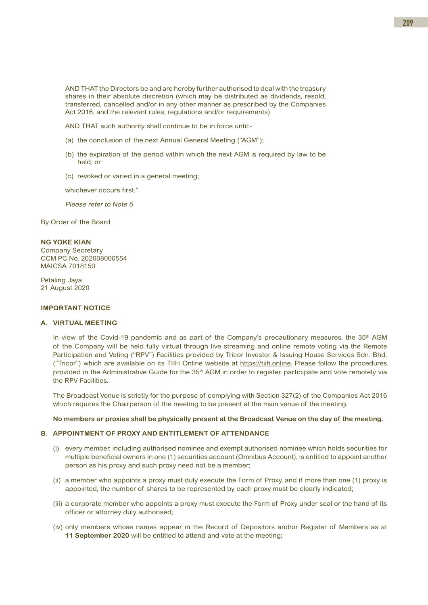AND THAT the Directors be and are hereby further authorised to deal with the treasury shares in their absolute discretion (which may be distributed as dividends, resold, transferred, cancelled and/or in any other manner as prescribed by the Companies Act 2016, and the relevant rules, regulations and/or requirements)

AND THAT such authority shall continue to be in force until:-

- (a) the conclusion of the next Annual General Meeting ("AGM");
- (b) the expiration of the period within which the next AGM is required by law to be held; or
- (c) revoked or varied in a general meeting;

whichever occurs first."

Please refer to Note 5

By Order of the Board

### **NG YOKE KIAN**

Company Secretary CCM PC No. 202008000554 MAICSA 7018150

Petaling Jaya 21 August 2020

#### **IMPORTANT NOTICE**

#### **A. VIRTUAL MEETING**

In view of the Covid-19 pandemic and as part of the Company's precautionary measures, the  $35<sup>th</sup>$  AGM of the Company will be held fully virtual through live streaming and online remote voting via the Remote Participation and Voting ("RPV") Facilities provided by Tricor Investor & Issuing House Services Sdn. Bhd. ("Tricor") which are available on its TIIH Online website at https://tiih.online. Please follow the procedures provided in the Administrative Guide for the 35<sup>th</sup> AGM in order to register, participate and vote remotely via the RPV Facilities.

The Broadcast Venue is strictly for the purpose of complying with Section 327(2) of the Companies Act 2016 which requires the Chairperson of the meeting to be present at the main venue of the meeting.

#### **No members or proxies shall be physically present at the Broadcast Venue on the day of the meeting.**

#### **B. APPOINTMENT OF PROXY AND ENTITLEMENT OF ATTENDANCE**

- (i) every member, including authorised nominee and exempt authorised nominee which holds securities for multiple beneficial owners in one (1) securities account (Omnibus Account), is entitled to appoint another person as his proxy and such proxy need not be a member;
- (ii) a member who appoints a proxy must duly execute the Form of Proxy, and if more than one (1) proxy is appointed, the number of shares to be represented by each proxy must be clearly indicated;
- (iii) a corporate member who appoints a proxy must execute the Form of Proxy under seal or the hand of its officer or attorney duly authorised;
- (iv) only members whose names appear in the Record of Depositors and/or Register of Members as at **11 September 2020** will be entitled to attend and vote at the meeting;